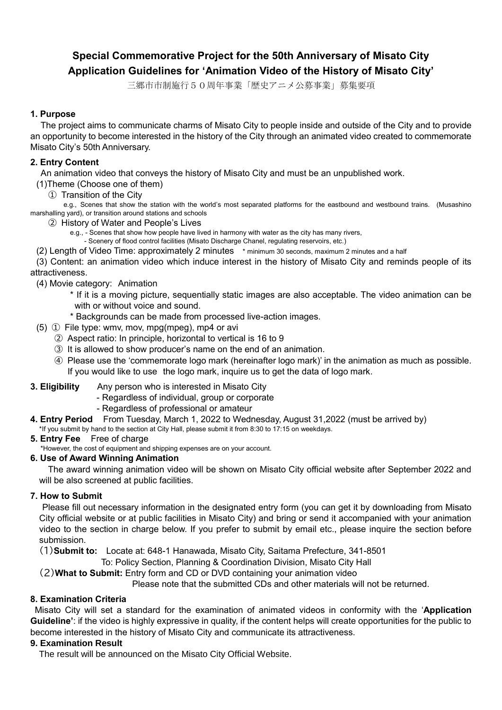# **Special Commemorative Project for the 50th Anniversary of Misato City Application Guidelines for 'Animation Video of the History of Misato City'**

三郷市市制施行50周年事業「歴史アニメ公募事業」募集要項

### **1. Purpose**

The project aims to communicate charms of Misato City to people inside and outside of the City and to provide an opportunity to become interested in the history of the City through an animated video created to commemorate Misato City's 50th Anniversary.

# **2. Entry Content**

An animation video that conveys the history of Misato City and must be an unpublished work.

- (1)Theme (Choose one of them)
	- ① Transition of the City

 e.g., Scenes that show the station with the world's most separated platforms for the eastbound and westbound trains. (Musashino marshalling yard), or transition around stations and schools

#### ② History of Water and People's Lives

e.g., - Scenes that show how people have lived in harmony with water as the city has many rivers,

- Scenery of flood control facilities (Misato Discharge Chanel, regulating reservoirs, etc.)

(2) Length of Video Time: approximately 2 minutes \* minimum 30 seconds, maximum 2 minutes and a half

(3) Content: an animation video which induce interest in the history of Misato City and reminds people of its attractiveness.

### (4) Movie category: Animation

- \* If it is a moving picture, sequentially static images are also acceptable. The video animation can be with or without voice and sound.
- \* Backgrounds can be made from processed live-action images.
- (5) ① File type: wmv, mov, mpg(mpeg), mp4 or avi
	- ② Aspect ratio: In principle, horizontal to vertical is 16 to 9
	- ③ It is allowed to show producer's name on the end of an animation.
	- ④ Please use the 'commemorate logo mark (hereinafter logo mark)' in the animation as much as possible. If you would like to use the logo mark, inquire us to get the data of logo mark.
- **3. Eligibility** Any person who is interested in Misato City
	- Regardless of individual, group or corporate
	- Regardless of professional or amateur
- **4. Entry Period** From Tuesday, March 1, 2022 to Wednesday, August 31,2022 (must be arrived by)
- \*If you submit by hand to the section at City Hall, please submit it from 8:30 to 17:15 on weekdays.
- **5. Entry Fee** Free of charge

\*However, the cost of equipment and shipping expenses are on your account.

### **6. Use of Award Winning Animation**

The award winning animation video will be shown on Misato City official website after September 2022 and will be also screened at public facilities.

### **7. How to Submit**

Please fill out necessary information in the designated entry form (you can get it by downloading from Misato City official website or at public facilities in Misato City) and bring or send it accompanied with your animation video to the section in charge below. If you prefer to submit by email etc., please inquire the section before submission.

(1)**Submit to:** Locate at: 648-1 Hanawada, Misato City, Saitama Prefecture, 341-8501

To: Policy Section, Planning & Coordination Division, Misato City Hall

(2)**What to Submit:** Entry form and CD or DVD containing your animation video

Please note that the submitted CDs and other materials will not be returned.

### **8. Examination Criteria**

Misato City will set a standard for the examination of animated videos in conformity with the '**Application Guideline'**: if the video is highly expressive in quality, if the content helps will create opportunities for the public to become interested in the history of Misato City and communicate its attractiveness.

### **9. Examination Result**

The result will be announced on the Misato City Official Website.